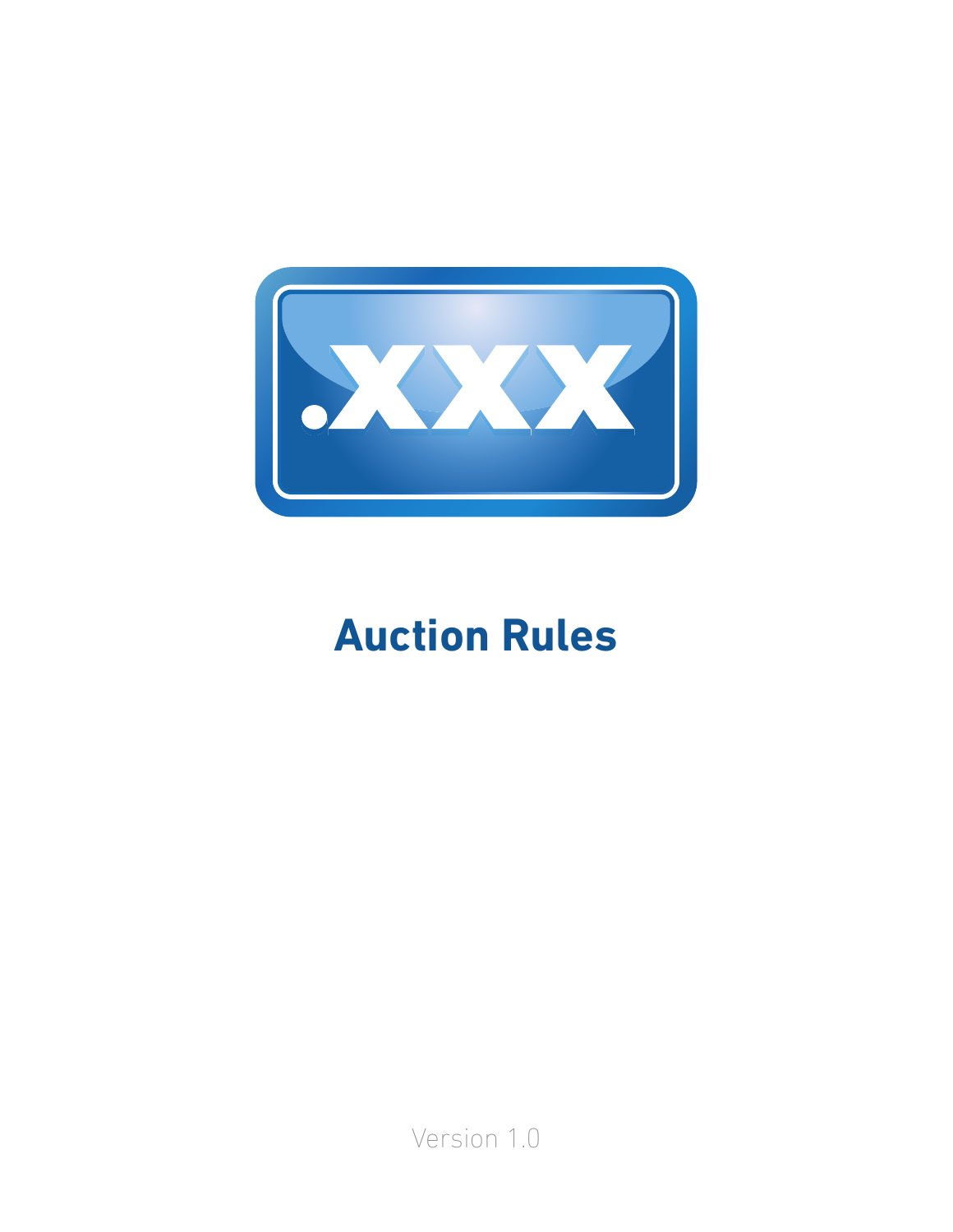

# **Auction Rules**

Version 1.0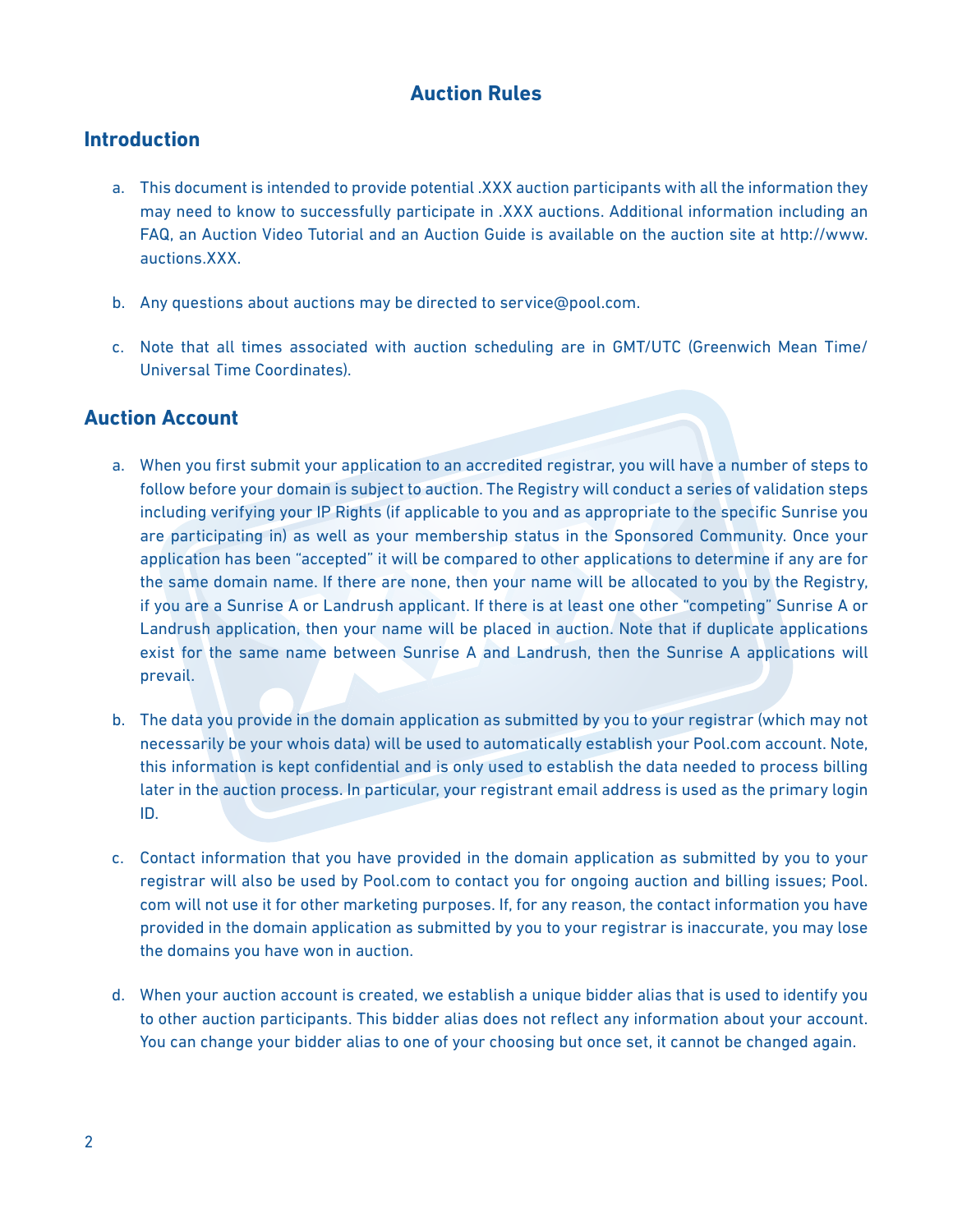## **Auction Rules**

#### **Introduction**

- a. This document is intended to provide potential .XXX auction participants with all the information they may need to know to successfully participate in .XXX auctions. Additional information including an FAQ, an Auction Video Tutorial and an Auction Guide is available on the auction site at http://www. auctions.XXX.
- b. Any questions about auctions may be directed to service@pool.com.
- c. Note that all times associated with auction scheduling are in GMT/UTC (Greenwich Mean Time/ Universal Time Coordinates).

#### **Auction Account**

- a. When you first submit your application to an accredited registrar, you will have a number of steps to follow before your domain is subject to auction. The Registry will conduct a series of validation steps including verifying your IP Rights (if applicable to you and as appropriate to the specific Sunrise you are participating in) as well as your membership status in the Sponsored Community. Once your application has been "accepted" it will be compared to other applications to determine if any are for the same domain name. If there are none, then your name will be allocated to you by the Registry, if you are a Sunrise A or Landrush applicant. If there is at least one other "competing" Sunrise A or Landrush application, then your name will be placed in auction. Note that if duplicate applications exist for the same name between Sunrise A and Landrush, then the Sunrise A applications will prevail.
- b. The data you provide in the domain application as submitted by you to your registrar (which may not necessarily be your whois data) will be used to automatically establish your Pool.com account. Note, this information is kept confidential and is only used to establish the data needed to process billing later in the auction process. In particular, your registrant email address is used as the primary login ID.
- c. Contact information that you have provided in the domain application as submitted by you to your registrar will also be used by Pool.com to contact you for ongoing auction and billing issues; Pool. com will not use it for other marketing purposes. If, for any reason, the contact information you have provided in the domain application as submitted by you to your registrar is inaccurate, you may lose the domains you have won in auction.
- d. When your auction account is created, we establish a unique bidder alias that is used to identify you to other auction participants. This bidder alias does not reflect any information about your account. You can change your bidder alias to one of your choosing but once set, it cannot be changed again.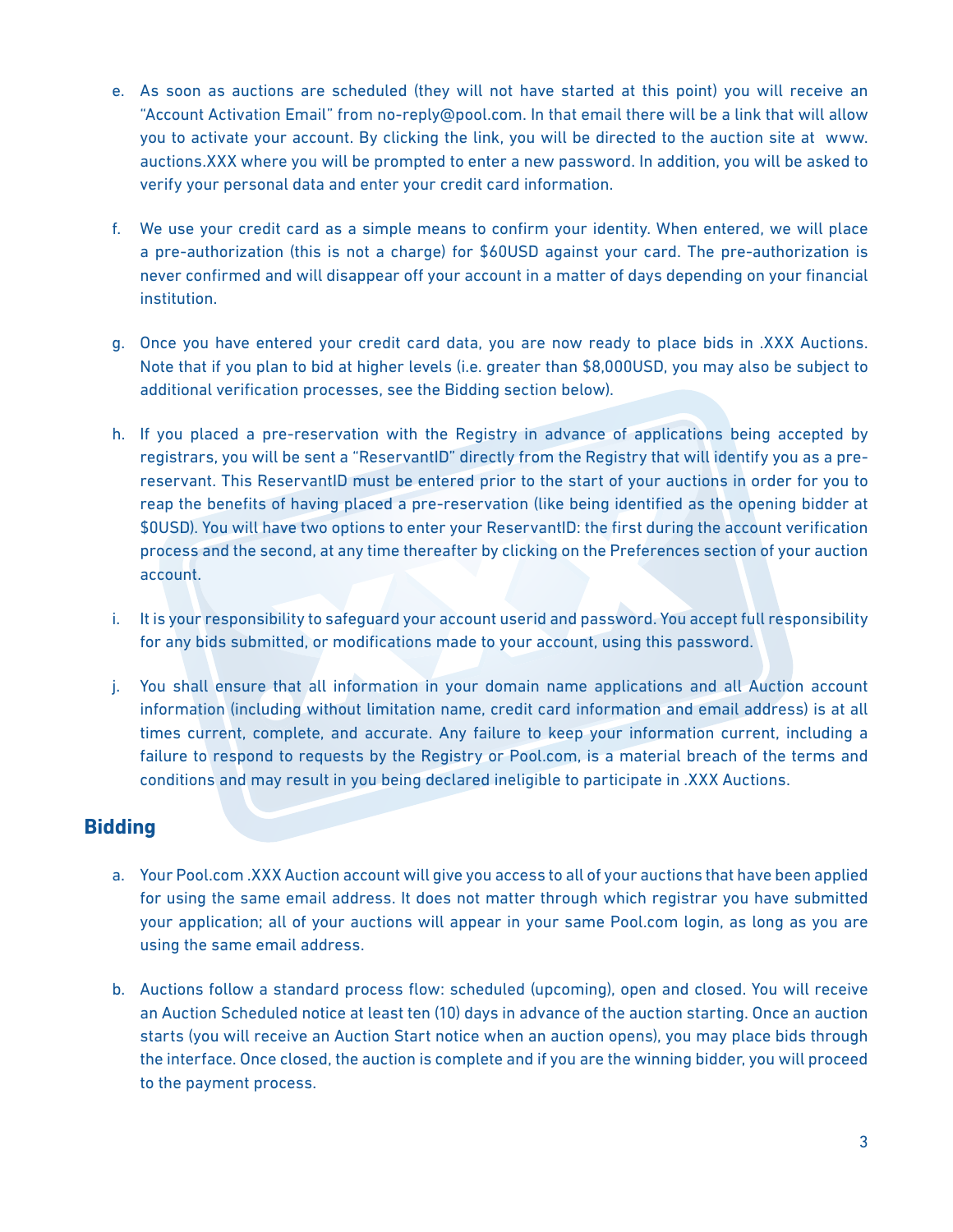- e. As soon as auctions are scheduled (they will not have started at this point) you will receive an "Account Activation Email" from no-reply@pool.com. In that email there will be a link that will allow you to activate your account. By clicking the link, you will be directed to the auction site at www. auctions.XXX where you will be prompted to enter a new password. In addition, you will be asked to verify your personal data and enter your credit card information.
- f. We use your credit card as a simple means to confirm your identity. When entered, we will place a pre-authorization (this is not a charge) for \$60USD against your card. The pre-authorization is never confirmed and will disappear off your account in a matter of days depending on your financial institution.
- g. Once you have entered your credit card data, you are now ready to place bids in .XXX Auctions. Note that if you plan to bid at higher levels (i.e. greater than \$8,000USD, you may also be subject to additional verification processes, see the Bidding section below).
- h. If you placed a pre-reservation with the Registry in advance of applications being accepted by registrars, you will be sent a "ReservantID" directly from the Registry that will identify you as a prereservant. This ReservantID must be entered prior to the start of your auctions in order for you to reap the benefits of having placed a pre-reservation (like being identified as the opening bidder at \$0USD). You will have two options to enter your ReservantID: the first during the account verification process and the second, at any time thereafter by clicking on the Preferences section of your auction account.
- i. It is your responsibility to safeguard your account userid and password. You accept full responsibility for any bids submitted, or modifications made to your account, using this password.
- j. You shall ensure that all information in your domain name applications and all Auction account information (including without limitation name, credit card information and email address) is at all times current, complete, and accurate. Any failure to keep your information current, including a failure to respond to requests by the Registry or Pool.com, is a material breach of the terms and conditions and may result in you being declared ineligible to participate in .XXX Auctions.

## **Bidding**

- a. Your Pool.com .XXX Auction account will give you access to all of your auctions that have been applied for using the same email address. It does not matter through which registrar you have submitted your application; all of your auctions will appear in your same Pool.com login, as long as you are using the same email address.
- b. Auctions follow a standard process flow: scheduled (upcoming), open and closed. You will receive an Auction Scheduled notice at least ten (10) days in advance of the auction starting. Once an auction starts (you will receive an Auction Start notice when an auction opens), you may place bids through the interface. Once closed, the auction is complete and if you are the winning bidder, you will proceed to the payment process.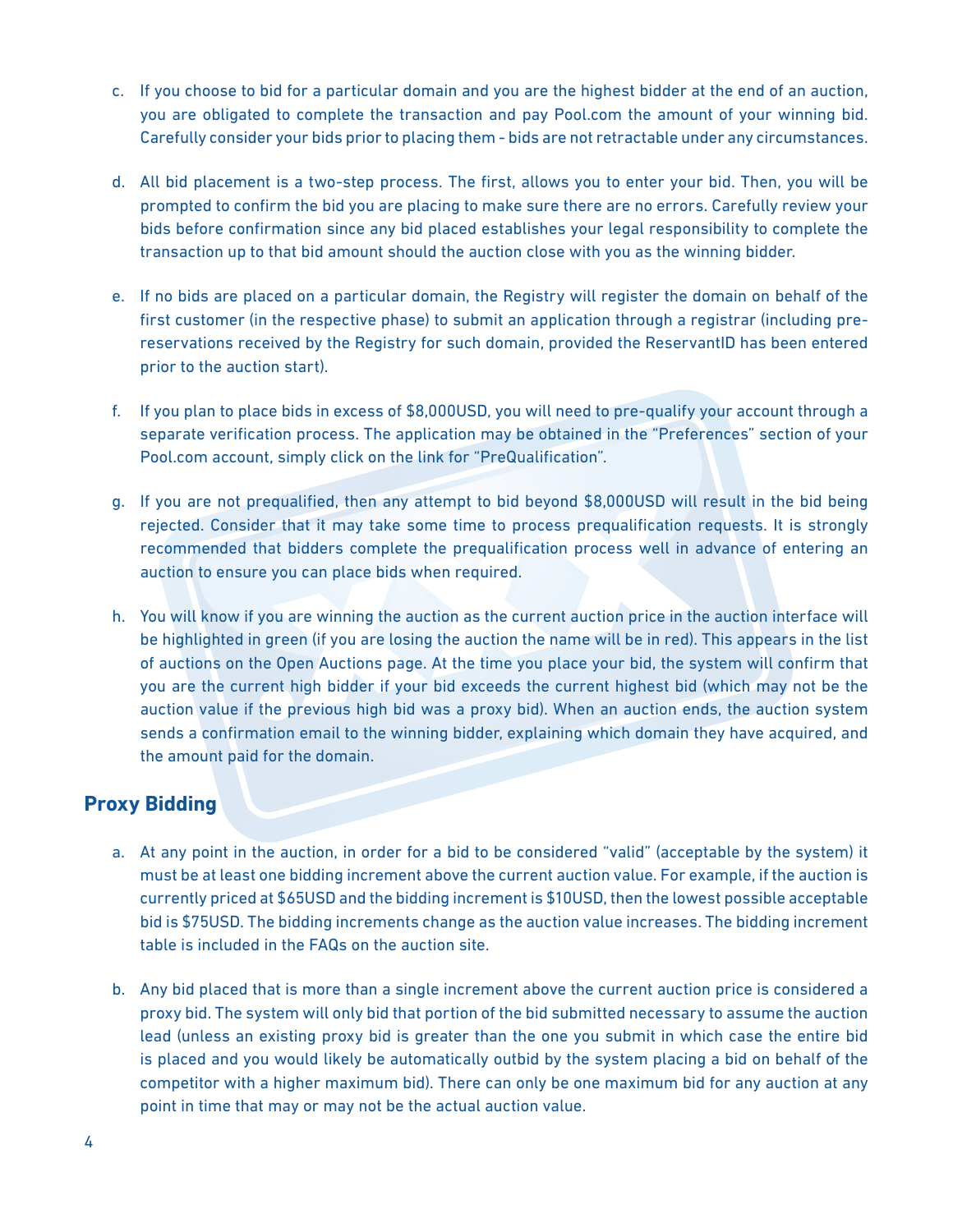- c. If you choose to bid for a particular domain and you are the highest bidder at the end of an auction, you are obligated to complete the transaction and pay Pool.com the amount of your winning bid. Carefully consider your bids prior to placing them - bids are not retractable under any circumstances.
- d. All bid placement is a two-step process. The first, allows you to enter your bid. Then, you will be prompted to confirm the bid you are placing to make sure there are no errors. Carefully review your bids before confirmation since any bid placed establishes your legal responsibility to complete the transaction up to that bid amount should the auction close with you as the winning bidder.
- e. If no bids are placed on a particular domain, the Registry will register the domain on behalf of the first customer (in the respective phase) to submit an application through a registrar (including prereservations received by the Registry for such domain, provided the ReservantID has been entered prior to the auction start).
- f. If you plan to place bids in excess of \$8,000USD, you will need to pre-qualify your account through a separate verification process. The application may be obtained in the "Preferences" section of your Pool.com account, simply click on the link for "PreQualification".
- g. If you are not prequalified, then any attempt to bid beyond \$8,000USD will result in the bid being rejected. Consider that it may take some time to process prequalification requests. It is strongly recommended that bidders complete the prequalification process well in advance of entering an auction to ensure you can place bids when required.
- h. You will know if you are winning the auction as the current auction price in the auction interface will be highlighted in green (if you are losing the auction the name will be in red). This appears in the list of auctions on the Open Auctions page. At the time you place your bid, the system will confirm that you are the current high bidder if your bid exceeds the current highest bid (which may not be the auction value if the previous high bid was a proxy bid). When an auction ends, the auction system sends a confirmation email to the winning bidder, explaining which domain they have acquired, and the amount paid for the domain.

## **Proxy Bidding**

- a. At any point in the auction, in order for a bid to be considered "valid" (acceptable by the system) it must be at least one bidding increment above the current auction value. For example, if the auction is currently priced at \$65USD and the bidding increment is \$10USD, then the lowest possible acceptable bid is \$75USD. The bidding increments change as the auction value increases. The bidding increment table is included in the FAQs on the auction site.
- b. Any bid placed that is more than a single increment above the current auction price is considered a proxy bid. The system will only bid that portion of the bid submitted necessary to assume the auction lead (unless an existing proxy bid is greater than the one you submit in which case the entire bid is placed and you would likely be automatically outbid by the system placing a bid on behalf of the competitor with a higher maximum bid). There can only be one maximum bid for any auction at any point in time that may or may not be the actual auction value.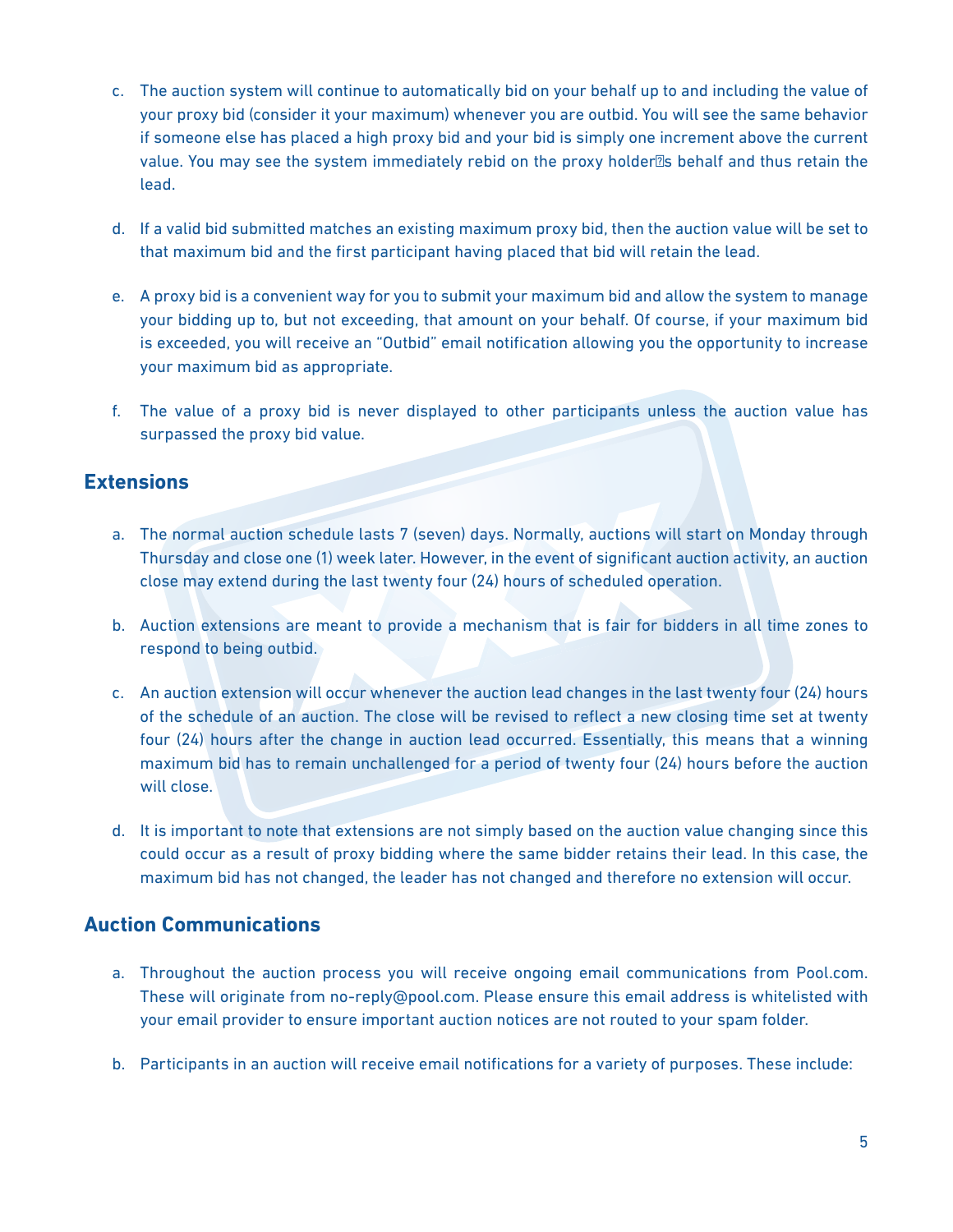- c. The auction system will continue to automatically bid on your behalf up to and including the value of your proxy bid (consider it your maximum) whenever you are outbid. You will see the same behavior if someone else has placed a high proxy bid and your bid is simply one increment above the current value. You may see the system immediately rebid on the proxy holder s behalf and thus retain the lead.
- d. If a valid bid submitted matches an existing maximum proxy bid, then the auction value will be set to that maximum bid and the first participant having placed that bid will retain the lead.
- e. A proxy bid is a convenient way for you to submit your maximum bid and allow the system to manage your bidding up to, but not exceeding, that amount on your behalf. Of course, if your maximum bid is exceeded, you will receive an "Outbid" email notification allowing you the opportunity to increase your maximum bid as appropriate.
- f. The value of a proxy bid is never displayed to other participants unless the auction value has surpassed the proxy bid value.

## **Extensions**

- a. The normal auction schedule lasts 7 (seven) days. Normally, auctions will start on Monday through Thursday and close one (1) week later. However, in the event of significant auction activity, an auction close may extend during the last twenty four (24) hours of scheduled operation.
- b. Auction extensions are meant to provide a mechanism that is fair for bidders in all time zones to respond to being outbid.
- c. An auction extension will occur whenever the auction lead changes in the last twenty four (24) hours of the schedule of an auction. The close will be revised to reflect a new closing time set at twenty four (24) hours after the change in auction lead occurred. Essentially, this means that a winning maximum bid has to remain unchallenged for a period of twenty four (24) hours before the auction will close.
- d. It is important to note that extensions are not simply based on the auction value changing since this could occur as a result of proxy bidding where the same bidder retains their lead. In this case, the maximum bid has not changed, the leader has not changed and therefore no extension will occur.

## **Auction Communications**

- a. Throughout the auction process you will receive ongoing email communications from Pool.com. These will originate from no-reply@pool.com. Please ensure this email address is whitelisted with your email provider to ensure important auction notices are not routed to your spam folder.
- b. Participants in an auction will receive email notifications for a variety of purposes. These include: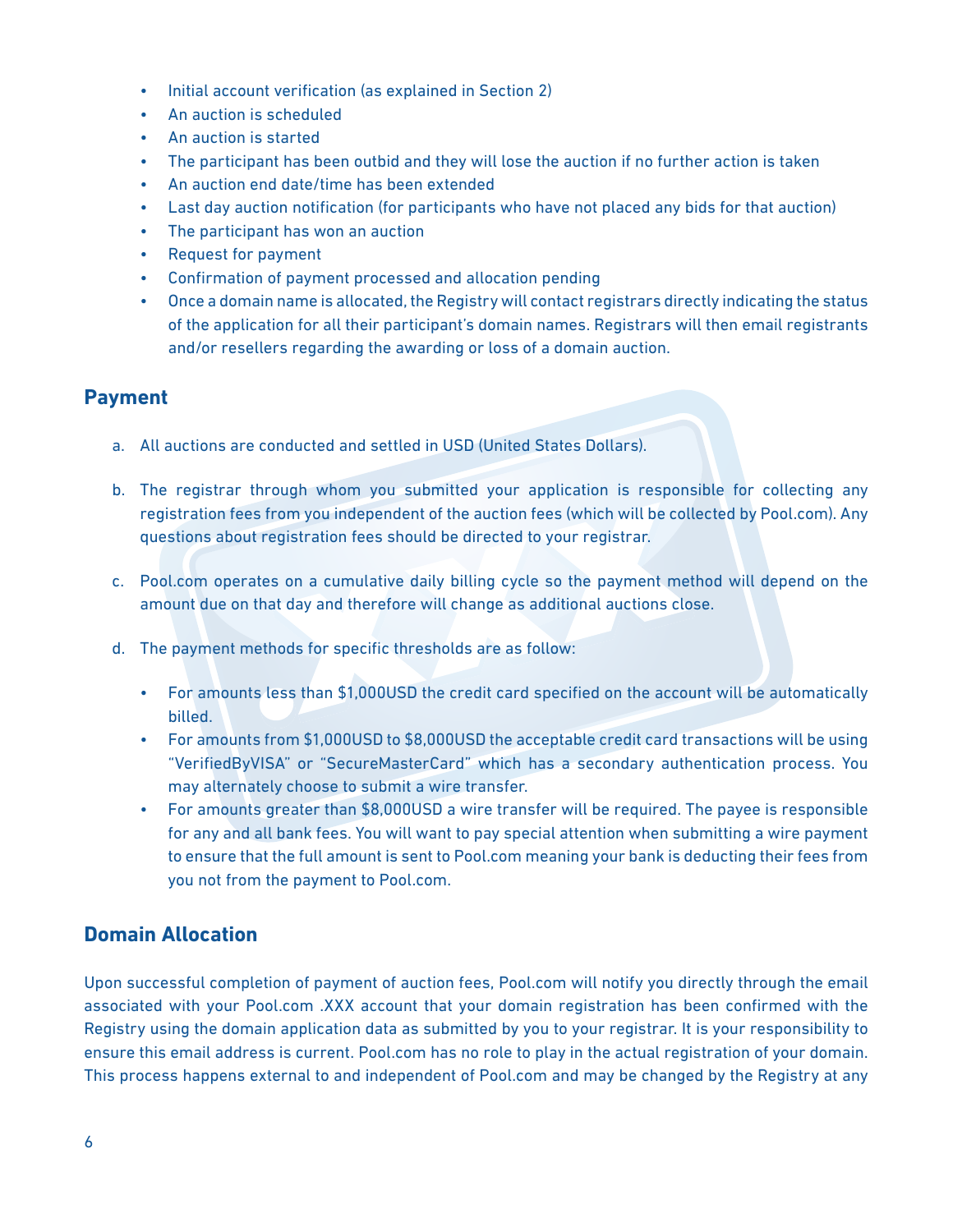- • Initial account verification (as explained in Section 2)
- • An auction is scheduled
- • An auction is started
- The participant has been outbid and they will lose the auction if no further action is taken
- • An auction end date/time has been extended
- • Last day auction notification (for participants who have not placed any bids for that auction)
- • The participant has won an auction
- • Request for payment
- • Confirmation of payment processed and allocation pending
- • Once a domain name is allocated, the Registry will contact registrars directly indicating the status of the application for all their participant's domain names. Registrars will then email registrants and/or resellers regarding the awarding or loss of a domain auction.

#### **Payment**

- a. All auctions are conducted and settled in USD (United States Dollars).
- b. The registrar through whom you submitted your application is responsible for collecting any registration fees from you independent of the auction fees (which will be collected by Pool.com). Any questions about registration fees should be directed to your registrar.
- c. Pool.com operates on a cumulative daily billing cycle so the payment method will depend on the amount due on that day and therefore will change as additional auctions close.
- d. The payment methods for specific thresholds are as follow:
	- • For amounts less than \$1,000USD the credit card specified on the account will be automatically billed.
	- For amounts from \$1,000USD to \$8,000USD the acceptable credit card transactions will be using "VerifiedByVISA" or "SecureMasterCard" which has a secondary authentication process. You may alternately choose to submit a wire transfer.
	- • For amounts greater than \$8,000USD a wire transfer will be required. The payee is responsible for any and all bank fees. You will want to pay special attention when submitting a wire payment to ensure that the full amount is sent to Pool.com meaning your bank is deducting their fees from you not from the payment to Pool.com.

## **Domain Allocation**

Upon successful completion of payment of auction fees, Pool.com will notify you directly through the email associated with your Pool.com .XXX account that your domain registration has been confirmed with the Registry using the domain application data as submitted by you to your registrar. It is your responsibility to ensure this email address is current. Pool.com has no role to play in the actual registration of your domain. This process happens external to and independent of Pool.com and may be changed by the Registry at any